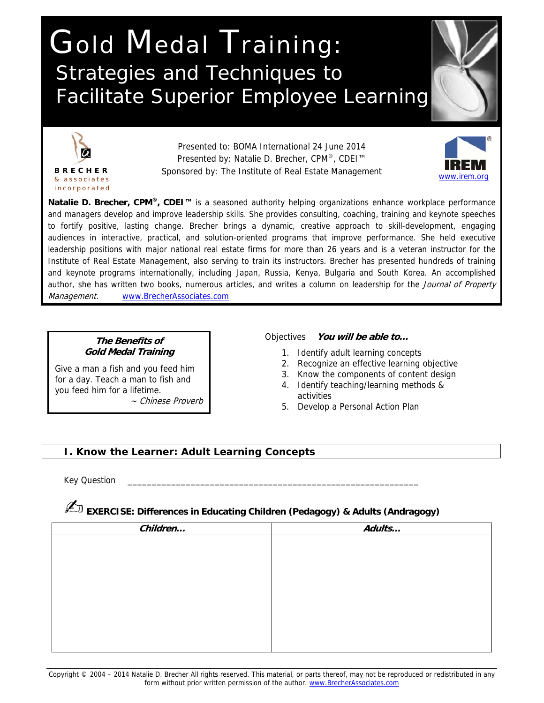# Gold Medal Training: Strategies and Techniques to Facilitate Superior Employee Learning



Presented to: BOMA International 24 June 2014 Presented by: Natalie D. Brecher, CPM<sup>®</sup>, CDEI<sup>™</sup> Sponsored by: The Institute of Real Estate Management



**Natalie D. Brecher, CPM®, CDEI™** is a seasoned authority helping organizations enhance workplace performance and managers develop and improve leadership skills. She provides consulting, coaching, training and keynote speeches to fortify positive, lasting change. Brecher brings a dynamic, creative approach to skill-development, engaging audiences in interactive, practical, and solution-oriented programs that improve performance. She held executive leadership positions with major national real estate firms for more than 26 years and is a veteran instructor for the Institute of Real Estate Management, also serving to train its instructors. Brecher has presented hundreds of training and keynote programs internationally, including Japan, Russia, Kenya, Bulgaria and South Korea. An accomplished author, she has written two books, numerous articles, and writes a column on leadership for the Journal of Property Management. www.BrecherAssociates.com

#### **The Benefits of Gold Medal Training**

Give a man a fish and you feed him for a day. Teach a man to fish and you feed him for a lifetime.

~ Chinese Proverb

#### Objectives **You will be able to…**

- 1. Identify adult learning concepts
- 2. Recognize an effective learning objective
- 3. Know the components of content design
- 4. Identify teaching/learning methods & activities
- 5. Develop a Personal Action Plan

#### **I. Know the Learner: Adult Learning Concepts**

Key Question

### ✍**EXERCISE: Differences in Educating Children (Pedagogy) & Adults (Andragogy)**

| Children | Adults |
|----------|--------|
|          |        |
|          |        |
|          |        |
|          |        |
|          |        |
|          |        |
|          |        |
|          |        |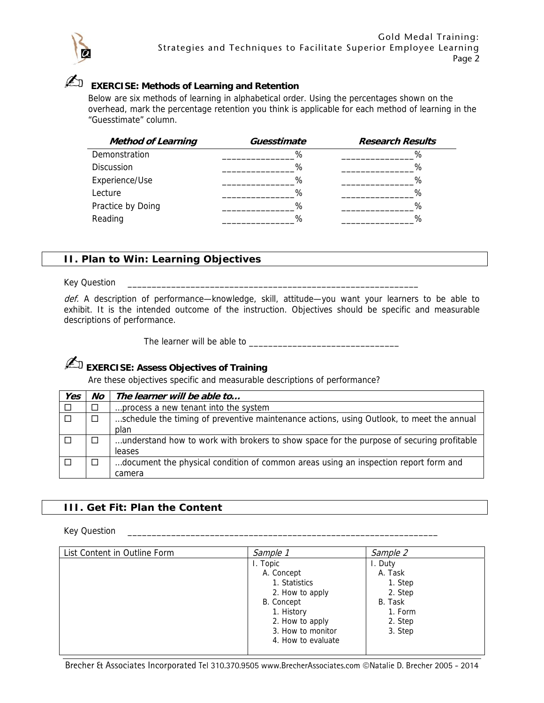

## ✍ **EXERCISE: Methods of Learning and Retention**

Below are six methods of learning in alphabetical order. Using the percentages shown on the overhead, mark the percentage retention you think is applicable for each method of learning in the "Guesstimate" column.

| <b>Method of Learning</b> | Guesstimate | <b>Research Results</b> |
|---------------------------|-------------|-------------------------|
| Demonstration             | %           | %                       |
| <b>Discussion</b>         | %           | %                       |
| Experience/Use            | %           | %                       |
| Lecture                   | %           | %                       |
| Practice by Doing         | %           | %                       |
| Reading                   | %           | %                       |

#### **II. Plan to Win: Learning Objectives**

#### Key Question

def. A description of performance—knowledge, skill, attitude—you want your learners to be able to exhibit. It is the intended outcome of the instruction. Objectives should be specific and measurable descriptions of performance.

The learner will be able to \_\_\_\_\_\_\_\_\_\_\_\_\_\_\_\_\_\_\_\_\_\_\_\_\_\_\_\_\_\_\_

### ✍**EXERCISE: Assess Objectives of Training**

Are these objectives specific and measurable descriptions of performance?

| Yes    | No     | The learner will be able to                                                              |
|--------|--------|------------------------------------------------------------------------------------------|
| $\Box$ | $\Box$ | process a new tenant into the system                                                     |
|        | $\Box$ | schedule the timing of preventive maintenance actions, using Outlook, to meet the annual |
|        |        | plan                                                                                     |
|        | П      | understand how to work with brokers to show space for the purpose of securing profitable |
|        |        | leases                                                                                   |
|        | П      | document the physical condition of common areas using an inspection report form and      |
|        |        | camera                                                                                   |

#### **III. Get Fit: Plan the Content**

Key Question \_\_\_\_\_\_\_\_\_\_\_\_\_\_\_\_\_\_\_\_\_\_\_\_\_\_\_\_\_\_\_\_\_\_\_\_\_\_\_\_\_\_\_\_\_\_\_\_\_\_\_\_\_\_\_\_\_\_\_\_\_\_\_\_

| List Content in Outline Form | Sample 1           | Sample 2 |  |
|------------------------------|--------------------|----------|--|
|                              | I. Topic           | I. Duty  |  |
|                              | A. Concept         | A. Task  |  |
|                              | 1. Statistics      | 1. Step  |  |
|                              | 2. How to apply    | 2. Step  |  |
|                              | B. Concept         | B. Task  |  |
|                              | 1. History         | 1. Form  |  |
|                              | 2. How to apply    | 2. Step  |  |
|                              | 3. How to monitor  | 3. Step  |  |
|                              | 4. How to evaluate |          |  |
|                              |                    |          |  |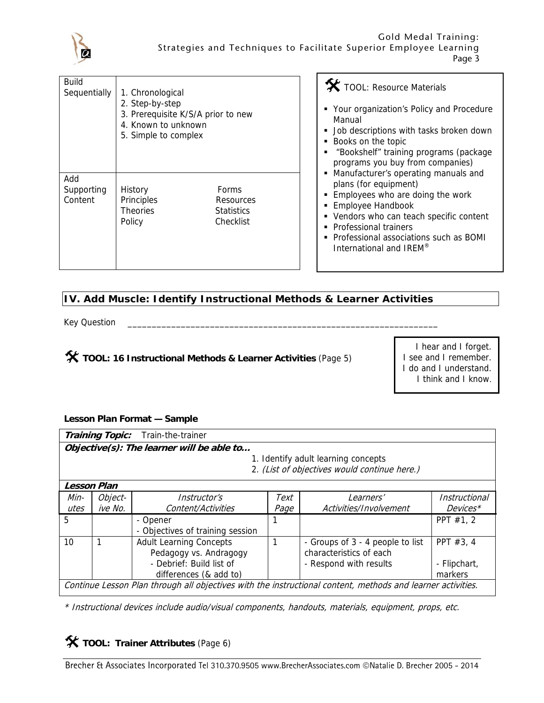

| Build<br>Sequentially        | 1. Chronological<br>2. Step-by-step<br>3. Prerequisite K/S/A prior to new<br>4. Known to unknown<br>5. Simple to complex |                                                      |  |  |
|------------------------------|--------------------------------------------------------------------------------------------------------------------------|------------------------------------------------------|--|--|
| Add<br>Supporting<br>Content | History<br>Principles<br><b>Theories</b><br>Policy                                                                       | Forms<br>Resources<br><b>Statistics</b><br>Checklist |  |  |

TOOL: Resource Materials

- Your organization's Policy and Procedure Manual
- **Job descriptions with tasks broken down**
- Books on the topic
- "Bookshelf" training programs (package programs you buy from companies)
- **Manufacturer's operating manuals and** plans (for equipment)
- **Employees who are doing the work**
- **Employee Handbook**
- Vendors who can teach specific content
- **Professional trainers**
- Professional associations such as BOMI International and IREM®

#### **IV. Add Muscle: Identify Instructional Methods & Learner Activities**

Key Question

#### **TOOL: 16 Instructional Methods & Learner Activities** (Page 5)

I hear and I forget. I see and I remember. I do and I understand. I think and I know.

#### **Lesson Plan Format — Sample**

|                                                                                                             | <b>Training Topic:</b> | Train-the-trainer                         |      |                                              |               |
|-------------------------------------------------------------------------------------------------------------|------------------------|-------------------------------------------|------|----------------------------------------------|---------------|
|                                                                                                             |                        | Objective(s): The learner will be able to |      |                                              |               |
|                                                                                                             |                        |                                           |      | 1. Identify adult learning concepts          |               |
|                                                                                                             |                        |                                           |      | 2. (List of objectives would continue here.) |               |
| <b>Lesson Plan</b>                                                                                          |                        |                                           |      |                                              |               |
| Min-                                                                                                        | Object-                | <i>Instructor's</i>                       | Text | <i>Learners'</i>                             | Instructional |
| utes                                                                                                        | ive No.                | Content/Activities                        | Page | Activities/Involvement                       | Devices*      |
| 5                                                                                                           |                        | - Opener                                  |      |                                              | PPT $#1, 2$   |
|                                                                                                             |                        | - Objectives of training session          |      |                                              |               |
| 10                                                                                                          |                        | <b>Adult Learning Concepts</b>            |      | - Groups of 3 - 4 people to list             | PPT $#3, 4$   |
|                                                                                                             |                        | Pedagogy vs. Andragogy                    |      | characteristics of each                      |               |
|                                                                                                             |                        | - Debrief: Build list of                  |      | - Respond with results                       | - Flipchart,  |
|                                                                                                             |                        | differences (& add to)                    |      |                                              | markers       |
| Continue Lesson Plan through all objectives with the instructional content, methods and learner activities. |                        |                                           |      |                                              |               |

\* Instructional devices include audio/visual components, handouts, materials, equipment, props, etc.

**X** TOOL: Trainer Attributes (Page 6)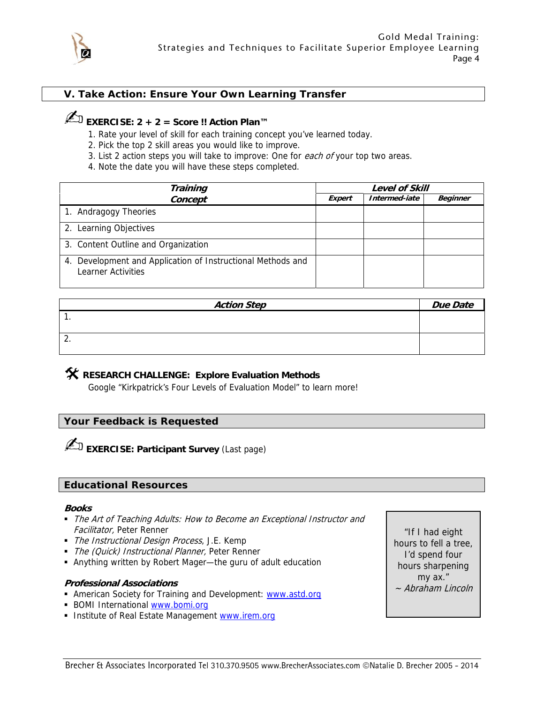

#### **V. Take Action: Ensure Your Own Learning Transfer**

### ✍**EXERCISE: 2 + 2 = Score !! Action Plan™**

- 1. Rate your level of skill for each training concept you've learned today.
- 2. Pick the top 2 skill areas you would like to improve.
- 3. List 2 action steps you will take to improve: One for each of your top two areas.
- 4. Note the date you will have these steps completed.

| <b>Training</b>                                                                   | <b>Level of Skill</b> |               |                 |  |  |
|-----------------------------------------------------------------------------------|-----------------------|---------------|-----------------|--|--|
| Concept                                                                           | <b>Expert</b>         | Intermed-iate | <b>Beginner</b> |  |  |
| 1. Andragogy Theories                                                             |                       |               |                 |  |  |
| 2. Learning Objectives                                                            |                       |               |                 |  |  |
| 3. Content Outline and Organization                                               |                       |               |                 |  |  |
| 4. Development and Application of Instructional Methods and<br>Learner Activities |                       |               |                 |  |  |

| <b>Action Step</b> | <b>Due Date</b> |
|--------------------|-----------------|
|                    |                 |
|                    |                 |
| z.                 |                 |
|                    |                 |

#### **RESEARCH CHALLENGE: Explore Evaluation Methods**

Google "Kirkpatrick's Four Levels of Evaluation Model" to learn more!

#### **Your Feedback is Requested**

**EXERCISE: Participant Survey** (Last page)

#### **Educational Resources**

#### **Books**

- The Art of Teaching Adults: How to Become an Exceptional Instructor and Facilitator, Peter Renner
- The Instructional Design Process, J.E. Kemp
- The (Quick) Instructional Planner, Peter Renner
- Anything written by Robert Mager—the guru of adult education

#### **Professional Associations**

- **American Society for Training and Development: www.astd.org**
- **BOMI International www.bomi.org**
- Institute of Real Estate Management www.irem.org

"If I had eight hours to fell a tree, I'd spend four hours sharpening my ax." ~ Abraham Lincoln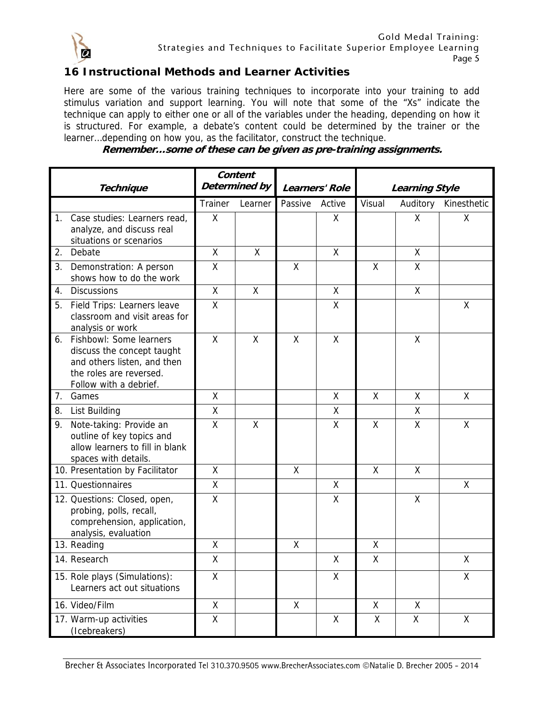

#### **16 Instructional Methods and Learner Activities**

Here are some of the various training techniques to incorporate into your training to add stimulus variation and support learning. You will note that some of the "Xs" indicate the technique can apply to either one or all of the variables under the heading, depending on how it is structured. For example, a debate's content could be determined by the trainer or the learner…depending on how you, as the facilitator, construct the technique.

|             | <b>Technique</b>                                                                                                                             | Content<br>Determined by |         | Learners' Role |                    |        | <b>Learning Style</b> |             |
|-------------|----------------------------------------------------------------------------------------------------------------------------------------------|--------------------------|---------|----------------|--------------------|--------|-----------------------|-------------|
|             |                                                                                                                                              | Trainer                  | Learner | Passive        | Active             | Visual | Auditory              | Kinesthetic |
| $1_{\cdot}$ | Case studies: Learners read,<br>analyze, and discuss real<br>situations or scenarios                                                         | X                        |         |                | X                  |        | X                     | X           |
|             | 2. Debate                                                                                                                                    | $\mathsf{X}$             | X       |                | X                  |        | X                     |             |
|             | 3. Demonstration: A person<br>shows how to do the work                                                                                       | X                        |         | Χ              |                    | χ      | X                     |             |
| 4.          | <b>Discussions</b>                                                                                                                           | X                        | X       |                | X                  |        | X                     |             |
|             | 5. Field Trips: Learners leave<br>classroom and visit areas for<br>analysis or work                                                          | $\sf X$                  |         |                | Χ                  |        |                       | Χ           |
|             | 6. Fishbowl: Some learners<br>discuss the concept taught<br>and others listen, and then<br>the roles are reversed.<br>Follow with a debrief. | X                        | X       | X              | X                  |        | X                     |             |
| 7.          | Games                                                                                                                                        | X                        |         |                | Χ                  | X      | X                     | X           |
|             | 8. List Building                                                                                                                             | $\overline{\mathsf{X}}$  |         |                | X                  |        | X                     |             |
|             | 9. Note-taking: Provide an<br>outline of key topics and<br>allow learners to fill in blank<br>spaces with details.                           | $\sf X$                  | X       |                | X                  | Χ      | Χ                     | X           |
|             | 10. Presentation by Facilitator                                                                                                              | $\sf X$                  |         | Χ              |                    | Χ      | Χ                     |             |
|             | 11. Questionnaires                                                                                                                           | $\sf X$                  |         |                | X                  |        |                       | X           |
|             | 12. Questions: Closed, open,<br>probing, polls, recall,<br>comprehension, application,<br>analysis, evaluation                               | X                        |         |                | χ                  |        | X                     |             |
|             | 13. Reading                                                                                                                                  | $\mathsf{X}% _{0}$       |         | Χ              |                    | Χ      |                       |             |
|             | 14. Research                                                                                                                                 | Χ                        |         |                | Χ                  | Χ      |                       | χ           |
|             | 15. Role plays (Simulations):<br>Learners act out situations                                                                                 | X                        |         |                | Χ                  |        |                       | Χ           |
|             | 16. Video/Film                                                                                                                               | X                        |         | X              |                    | χ      | X                     |             |
|             | 17. Warm-up activities<br>(Icebreakers)                                                                                                      | $\mathsf{X}% _{0}$       |         |                | $\pmb{\mathsf{X}}$ | Χ      | Χ                     | χ           |

**Remember…some of these can be given as pre-training assignments.**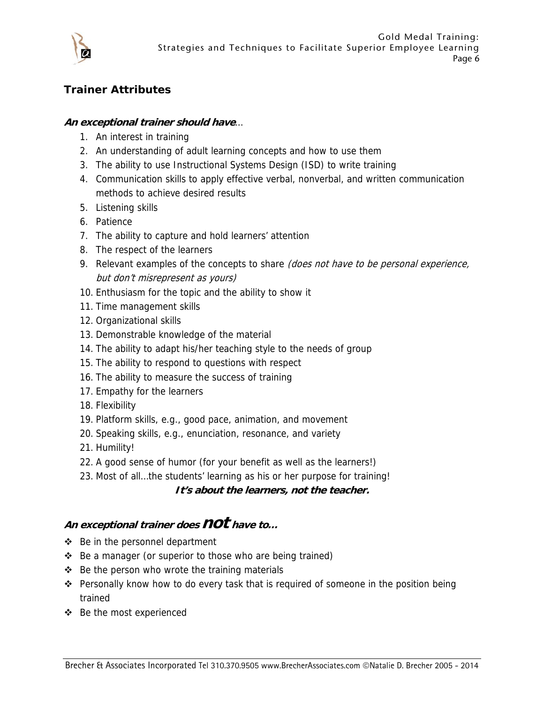

#### **Trainer Attributes**

#### **An exceptional trainer should have**…

- 1. An interest in training
- 2. An understanding of adult learning concepts and how to use them
- 3. The ability to use Instructional Systems Design (ISD) to write training
- 4. Communication skills to apply effective verbal, nonverbal, and written communication methods to achieve desired results
- 5. Listening skills
- 6. Patience
- 7. The ability to capture and hold learners' attention
- 8. The respect of the learners
- 9. Relevant examples of the concepts to share (does not have to be personal experience, but don't misrepresent as yours)
- 10. Enthusiasm for the topic and the ability to show it
- 11. Time management skills
- 12. Organizational skills
- 13. Demonstrable knowledge of the material
- 14. The ability to adapt his/her teaching style to the needs of group
- 15. The ability to respond to questions with respect
- 16. The ability to measure the success of training
- 17. Empathy for the learners
- 18. Flexibility
- 19. Platform skills, e.g., good pace, animation, and movement
- 20. Speaking skills, e.g., enunciation, resonance, and variety
- 21. Humility!
- 22. A good sense of humor (for your benefit as well as the learners!)
- 23. Most of all…the students' learning as his or her purpose for training!

#### **It's about the learners, not the teacher.**

### **An exceptional trainer does not have to…**

- Be in the personnel department
- ❖ Be a manager (or superior to those who are being trained)
- $\div$  Be the person who wrote the training materials
- $\div$  Personally know how to do every task that is required of someone in the position being trained
- Be the most experienced